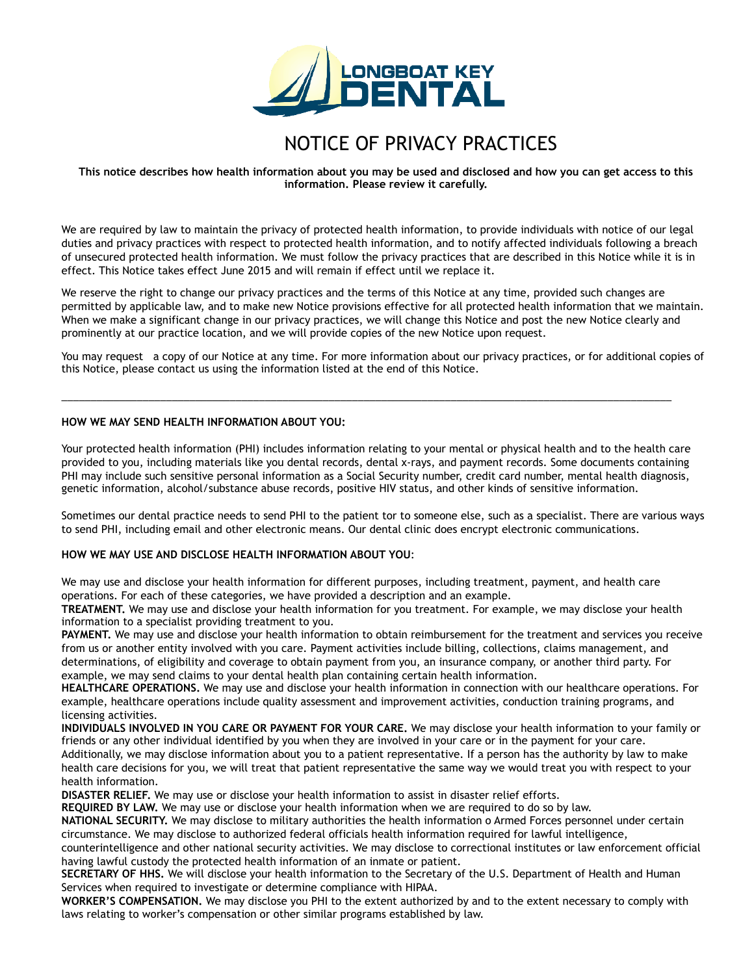

# NOTICE OF PRIVACY PRACTICES

**This notice describes how health information about you may be used and disclosed and how you can get access to this information. Please review it carefully.** 

We are required by law to maintain the privacy of protected health information, to provide individuals with notice of our legal duties and privacy practices with respect to protected health information, and to notify affected individuals following a breach of unsecured protected health information. We must follow the privacy practices that are described in this Notice while it is in effect. This Notice takes effect June 2015 and will remain if effect until we replace it.

We reserve the right to change our privacy practices and the terms of this Notice at any time, provided such changes are permitted by applicable law, and to make new Notice provisions effective for all protected health information that we maintain. When we make a significant change in our privacy practices, we will change this Notice and post the new Notice clearly and prominently at our practice location, and we will provide copies of the new Notice upon request.

You may request a copy of our Notice at any time. For more information about our privacy practices, or for additional copies of this Notice, please contact us using the information listed at the end of this Notice.

\_\_\_\_\_\_\_\_\_\_\_\_\_\_\_\_\_\_\_\_\_\_\_\_\_\_\_\_\_\_\_\_\_\_\_\_\_\_\_\_\_\_\_\_\_\_\_\_\_\_\_\_\_\_\_\_\_\_\_\_\_\_\_\_\_\_\_\_\_\_\_\_\_\_\_\_\_\_\_\_\_\_\_\_\_\_\_\_\_\_\_\_\_\_\_\_\_\_\_\_\_\_\_\_\_

### **HOW WE MAY SEND HEALTH INFORMATION ABOUT YOU:**

Your protected health information (PHI) includes information relating to your mental or physical health and to the health care provided to you, including materials like you dental records, dental x-rays, and payment records. Some documents containing PHI may include such sensitive personal information as a Social Security number, credit card number, mental health diagnosis, genetic information, alcohol/substance abuse records, positive HIV status, and other kinds of sensitive information.

Sometimes our dental practice needs to send PHI to the patient tor to someone else, such as a specialist. There are various ways to send PHI, including email and other electronic means. Our dental clinic does encrypt electronic communications.

## **HOW WE MAY USE AND DISCLOSE HEALTH INFORMATION ABOUT YOU**:

We may use and disclose your health information for different purposes, including treatment, payment, and health care operations. For each of these categories, we have provided a description and an example.

**TREATMENT.** We may use and disclose your health information for you treatment. For example, we may disclose your health information to a specialist providing treatment to you.

**PAYMENT.** We may use and disclose your health information to obtain reimbursement for the treatment and services you receive from us or another entity involved with you care. Payment activities include billing, collections, claims management, and determinations, of eligibility and coverage to obtain payment from you, an insurance company, or another third party. For example, we may send claims to your dental health plan containing certain health information.

**HEALTHCARE OPERATIONS.** We may use and disclose your health information in connection with our healthcare operations. For example, healthcare operations include quality assessment and improvement activities, conduction training programs, and licensing activities.

**INDIVIDUALS INVOLVED IN YOU CARE OR PAYMENT FOR YOUR CARE.** We may disclose your health information to your family or friends or any other individual identified by you when they are involved in your care or in the payment for your care. Additionally, we may disclose information about you to a patient representative. If a person has the authority by law to make health care decisions for you, we will treat that patient representative the same way we would treat you with respect to your health information.

**DISASTER RELIEF.** We may use or disclose your health information to assist in disaster relief efforts.

**REQUIRED BY LAW.** We may use or disclose your health information when we are required to do so by law.

**NATIONAL SECURITY.** We may disclose to military authorities the health information o Armed Forces personnel under certain circumstance. We may disclose to authorized federal officials health information required for lawful intelligence,

counterintelligence and other national security activities. We may disclose to correctional institutes or law enforcement official having lawful custody the protected health information of an inmate or patient.

**SECRETARY OF HHS.** We will disclose your health information to the Secretary of the U.S. Department of Health and Human Services when required to investigate or determine compliance with HIPAA.

**WORKER'S COMPENSATION.** We may disclose you PHI to the extent authorized by and to the extent necessary to comply with laws relating to worker's compensation or other similar programs established by law.